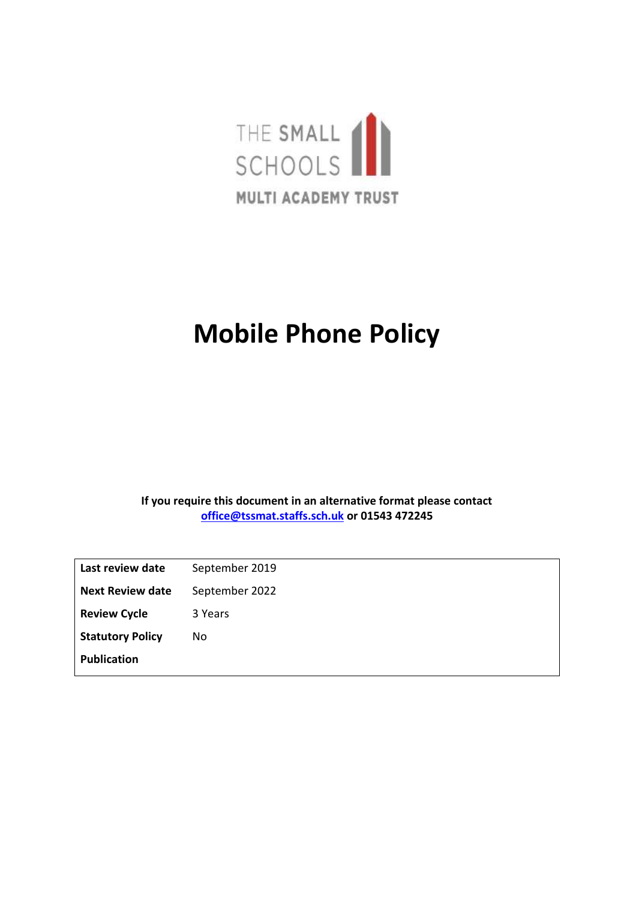

## **Mobile Phone Policy**

**If you require this document in an alternative format please contact [office@tssmat.staffs.sch.uk](mailto:office@tssmat.staffs.sch.uk) or 01543 472245**

| Last review date        | September 2019 |
|-------------------------|----------------|
| <b>Next Review date</b> | September 2022 |
| <b>Review Cycle</b>     | 3 Years        |
| <b>Statutory Policy</b> | No.            |
| <b>Publication</b>      |                |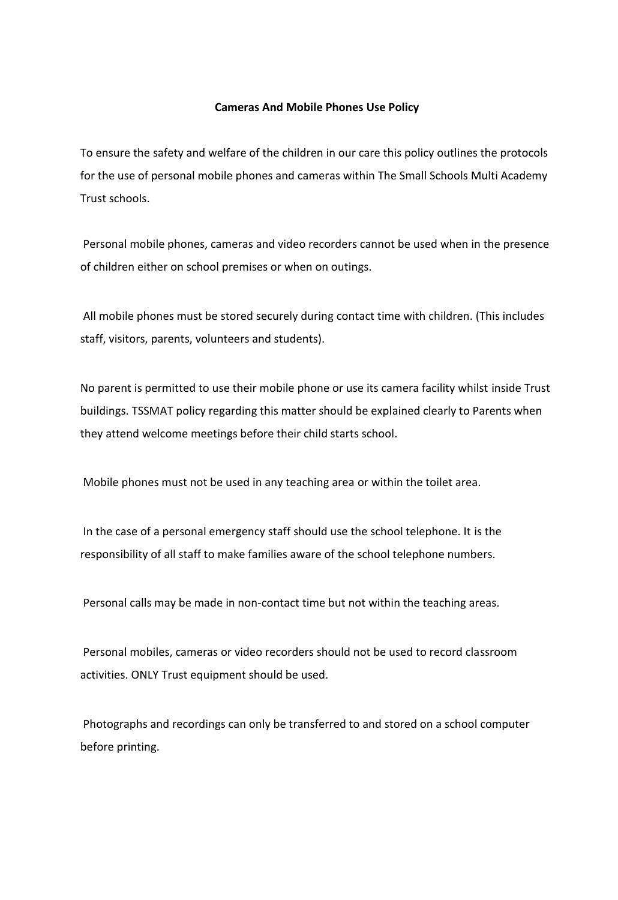## **Cameras And Mobile Phones Use Policy**

To ensure the safety and welfare of the children in our care this policy outlines the protocols for the use of personal mobile phones and cameras within The Small Schools Multi Academy Trust schools.

Personal mobile phones, cameras and video recorders cannot be used when in the presence of children either on school premises or when on outings.

All mobile phones must be stored securely during contact time with children. (This includes staff, visitors, parents, volunteers and students).

No parent is permitted to use their mobile phone or use its camera facility whilst inside Trust buildings. TSSMAT policy regarding this matter should be explained clearly to Parents when they attend welcome meetings before their child starts school.

Mobile phones must not be used in any teaching area or within the toilet area.

In the case of a personal emergency staff should use the school telephone. It is the responsibility of all staff to make families aware of the school telephone numbers.

Personal calls may be made in non-contact time but not within the teaching areas.

Personal mobiles, cameras or video recorders should not be used to record classroom activities. ONLY Trust equipment should be used.

Photographs and recordings can only be transferred to and stored on a school computer before printing.